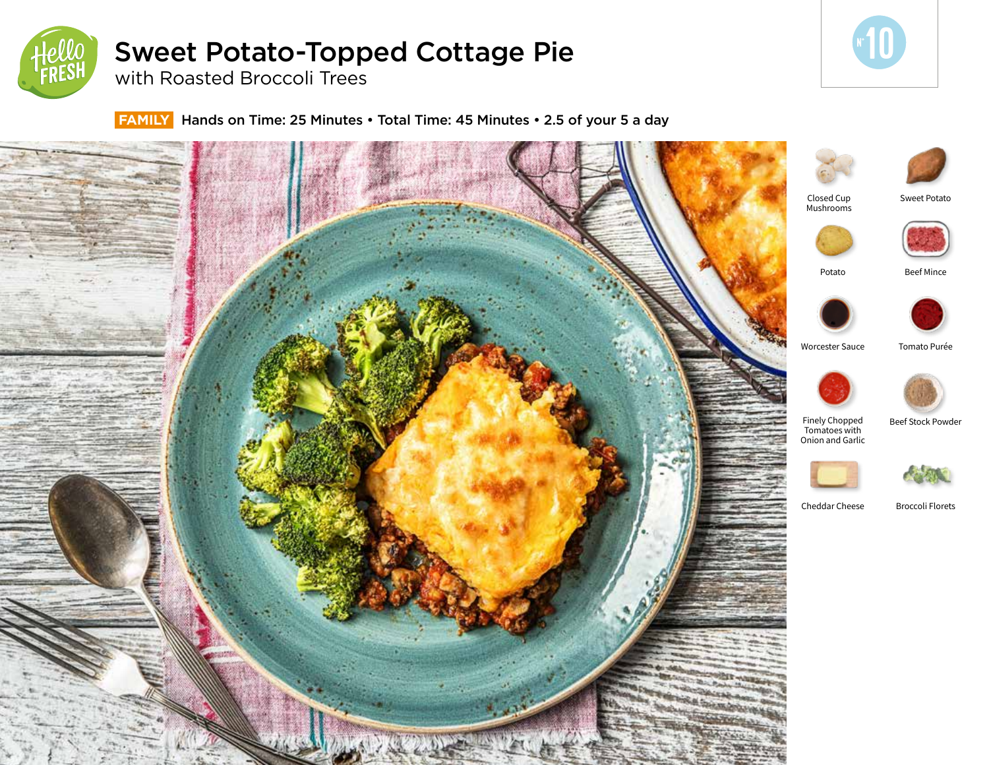

# Sweet Potato-Topped Cottage Pie

with Roasted Broccoli Trees

 **FAMILY** Hands on Time: 25 Minutes • Total Time: 45 Minutes • 2.5 of your 5 a day



**10**